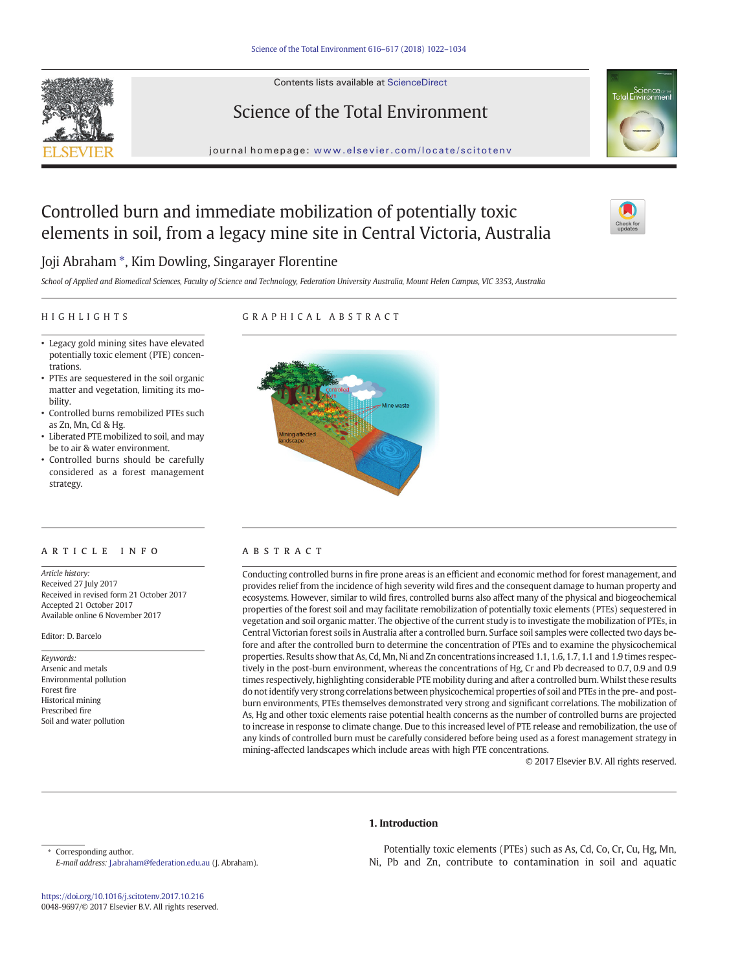Contents lists available at ScienceDirect





journal homepage: <www.elsevier.com/locate/scitotenv>

## Controlled burn and immediate mobilization of potentially toxic elements in soil, from a legacy mine site in Central Victoria, Australia



### Joji Abraham ⁎, Kim Dowling, Singarayer Florentine

School of Applied and Biomedical Sciences, Faculty of Science and Technology, Federation University Australia, Mount Helen Campus, VIC 3353, Australia

#### HIGHLIGHTS

### GRAPHICAL ABSTRACT

- Legacy gold mining sites have elevated potentially toxic element (PTE) concentrations.
- PTEs are sequestered in the soil organic matter and vegetation, limiting its mobility.
- Controlled burns remobilized PTEs such as Zn, Mn, Cd & Hg.
- Liberated PTE mobilized to soil, and may be to air & water environment.
- Controlled burns should be carefully considered as a forest management strategy.

#### ARTICLE INFO ABSTRACT

Article history: Received 27 July 2017 Received in revised form 21 October 2017 Accepted 21 October 2017 Available online 6 November 2017

Editor: D. Barcelo

Keywords: Arsenic and metals Environmental pollution Forest fire Historical mining Prescribed fire Soil and water pollution



Conducting controlled burns in fire prone areas is an efficient and economic method for forest management, and provides relief from the incidence of high severity wild fires and the consequent damage to human property and ecosystems. However, similar to wild fires, controlled burns also affect many of the physical and biogeochemical properties of the forest soil and may facilitate remobilization of potentially toxic elements (PTEs) sequestered in vegetation and soil organic matter. The objective of the current study is to investigate the mobilization of PTEs, in Central Victorian forest soils in Australia after a controlled burn. Surface soil samples were collected two days before and after the controlled burn to determine the concentration of PTEs and to examine the physicochemical properties. Results show that As, Cd, Mn, Ni and Zn concentrations increased 1.1, 1.6, 1.7, 1.1 and 1.9 times respectively in the post-burn environment, whereas the concentrations of Hg, Cr and Pb decreased to 0.7, 0.9 and 0.9 times respectively, highlighting considerable PTE mobility during and after a controlled burn.Whilst these results do not identify very strong correlations between physicochemical properties of soil and PTEs in the pre- and postburn environments, PTEs themselves demonstrated very strong and significant correlations. The mobilization of As, Hg and other toxic elements raise potential health concerns as the number of controlled burns are projected to increase in response to climate change. Due to this increased level of PTE release and remobilization, the use of any kinds of controlled burn must be carefully considered before being used as a forest management strategy in mining-affected landscapes which include areas with high PTE concentrations.

© 2017 Elsevier B.V. All rights reserved.

#### 1. Introduction

Corresponding author. E-mail address: [J.abraham@federation.edu.au](mailto:J.abraham@federation.edu.au) (J. Abraham).

<https://doi.org/10.1016/j.scitotenv.2017.10.216> 0048-9697/© 2017 Elsevier B.V. All rights reserved.

Potentially toxic elements (PTEs) such as As, Cd, Co, Cr, Cu, Hg, Mn, Ni, Pb and Zn, contribute to contamination in soil and aquatic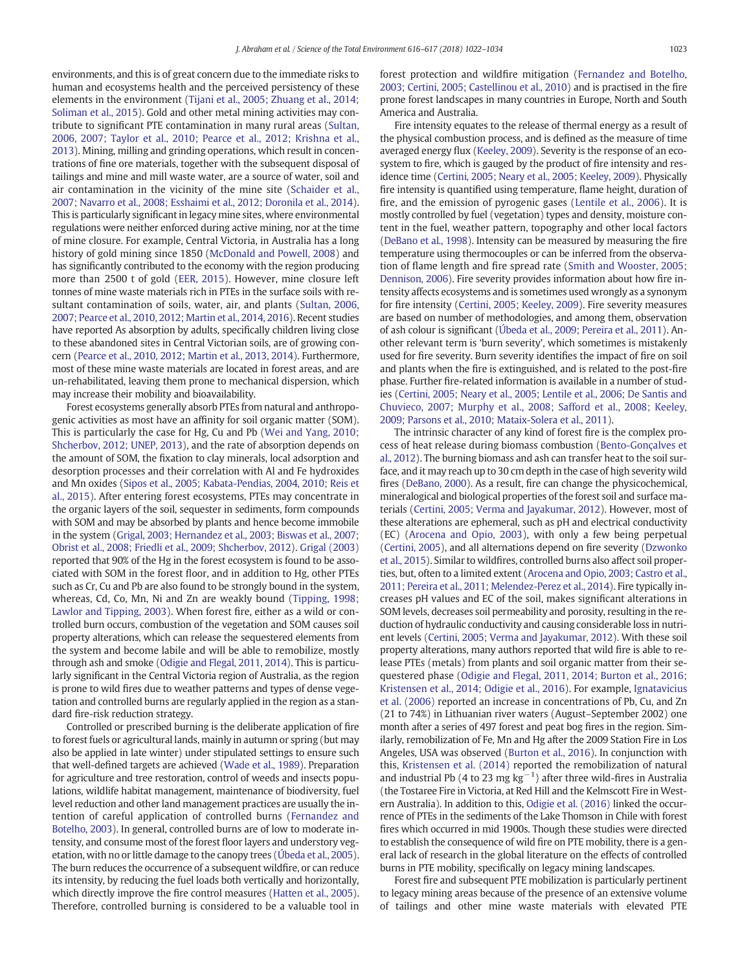environments, and this is of great concern due to the immediate risks to human and ecosystems health and the perceived persistency of these elements in the environment [\(Tijani et al., 2005; Zhuang et al., 2014;](#page--1-0) [Soliman et al., 2015\)](#page--1-0). Gold and other metal mining activities may contribute to significant PTE contamination in many rural areas ([Sultan,](#page--1-0) [2006, 2007; Taylor et al., 2010; Pearce et al., 2012; Krishna et al.,](#page--1-0) [2013](#page--1-0)). Mining, milling and grinding operations, which result in concentrations of fine ore materials, together with the subsequent disposal of tailings and mine and mill waste water, are a source of water, soil and air contamination in the vicinity of the mine site ([Schaider et al.,](#page--1-0) [2007; Navarro et al., 2008; Esshaimi et al., 2012; Doronila et al., 2014](#page--1-0)). This is particularly significant in legacy mine sites, where environmental regulations were neither enforced during active mining, nor at the time of mine closure. For example, Central Victoria, in Australia has a long history of gold mining since 1850 [\(McDonald and Powell, 2008](#page--1-0)) and has significantly contributed to the economy with the region producing more than 2500 t of gold ([EER, 2015](#page--1-0)). However, mine closure left tonnes of mine waste materials rich in PTEs in the surface soils with resultant contamination of soils, water, air, and plants [\(Sultan, 2006,](#page--1-0) [2007; Pearce et al., 2010, 2012; Martin et al., 2014, 2016](#page--1-0)). Recent studies have reported As absorption by adults, specifically children living close to these abandoned sites in Central Victorian soils, are of growing concern ([Pearce et al., 2010, 2012; Martin et al., 2013, 2014\)](#page--1-0). Furthermore, most of these mine waste materials are located in forest areas, and are un-rehabilitated, leaving them prone to mechanical dispersion, which may increase their mobility and bioavailability.

Forest ecosystems generally absorb PTEs from natural and anthropogenic activities as most have an affinity for soil organic matter (SOM). This is particularly the case for Hg, Cu and Pb [\(Wei and Yang, 2010;](#page--1-0) [Shcherbov, 2012; UNEP, 2013](#page--1-0)), and the rate of absorption depends on the amount of SOM, the fixation to clay minerals, local adsorption and desorption processes and their correlation with Al and Fe hydroxides and Mn oxides [\(Sipos et al., 2005; Kabata-Pendias, 2004, 2010; Reis et](#page--1-0) [al., 2015](#page--1-0)). After entering forest ecosystems, PTEs may concentrate in the organic layers of the soil, sequester in sediments, form compounds with SOM and may be absorbed by plants and hence become immobile in the system [\(Grigal, 2003; Hernandez et al., 2003; Biswas et al., 2007;](#page--1-0) [Obrist et al., 2008; Friedli et al., 2009; Shcherbov, 2012\)](#page--1-0). [Grigal \(2003\)](#page--1-0) reported that 90% of the Hg in the forest ecosystem is found to be associated with SOM in the forest floor, and in addition to Hg, other PTEs such as Cr, Cu and Pb are also found to be strongly bound in the system, whereas, Cd, Co, Mn, Ni and Zn are weakly bound [\(Tipping, 1998;](#page--1-0) [Lawlor and Tipping, 2003](#page--1-0)). When forest fire, either as a wild or controlled burn occurs, combustion of the vegetation and SOM causes soil property alterations, which can release the sequestered elements from the system and become labile and will be able to remobilize, mostly through ash and smoke ([Odigie and Flegal, 2011, 2014](#page--1-0)). This is particularly significant in the Central Victoria region of Australia, as the region is prone to wild fires due to weather patterns and types of dense vegetation and controlled burns are regularly applied in the region as a standard fire-risk reduction strategy.

Controlled or prescribed burning is the deliberate application of fire to forest fuels or agricultural lands, mainly in autumn or spring (but may also be applied in late winter) under stipulated settings to ensure such that well-defined targets are achieved [\(Wade et al., 1989\)](#page--1-0). Preparation for agriculture and tree restoration, control of weeds and insects populations, wildlife habitat management, maintenance of biodiversity, fuel level reduction and other land management practices are usually the intention of careful application of controlled burns ([Fernandez and](#page--1-0) [Botelho, 2003\)](#page--1-0). In general, controlled burns are of low to moderate intensity, and consume most of the forest floor layers and understory vegetation, with no or little damage to the canopy trees ([Úbeda et al., 2005](#page--1-0)). The burn reduces the occurrence of a subsequent wildfire, or can reduce its intensity, by reducing the fuel loads both vertically and horizontally, which directly improve the fire control measures [\(Hatten et al., 2005](#page--1-0)). Therefore, controlled burning is considered to be a valuable tool in forest protection and wildfire mitigation [\(Fernandez and Botelho,](#page--1-0) [2003; Certini, 2005; Castellinou et al., 2010](#page--1-0)) and is practised in the fire prone forest landscapes in many countries in Europe, North and South America and Australia.

Fire intensity equates to the release of thermal energy as a result of the physical combustion process, and is defined as the measure of time averaged energy flux ([Keeley, 2009\)](#page--1-0). Severity is the response of an ecosystem to fire, which is gauged by the product of fire intensity and residence time ([Certini, 2005; Neary et al., 2005; Keeley, 2009](#page--1-0)). Physically fire intensity is quantified using temperature, flame height, duration of fire, and the emission of pyrogenic gases ([Lentile et al., 2006](#page--1-0)). It is mostly controlled by fuel (vegetation) types and density, moisture content in the fuel, weather pattern, topography and other local factors [\(DeBano et al., 1998](#page--1-0)). Intensity can be measured by measuring the fire temperature using thermocouples or can be inferred from the observation of flame length and fire spread rate [\(Smith and Wooster, 2005;](#page--1-0) [Dennison, 2006](#page--1-0)). Fire severity provides information about how fire intensity affects ecosystems and is sometimes used wrongly as a synonym for fire intensity [\(Certini, 2005; Keeley, 2009\)](#page--1-0). Fire severity measures are based on number of methodologies, and among them, observation of ash colour is significant ([Úbeda et al., 2009; Pereira et al., 2011](#page--1-0)). Another relevant term is 'burn severity', which sometimes is mistakenly used for fire severity. Burn severity identifies the impact of fire on soil and plants when the fire is extinguished, and is related to the post-fire phase. Further fire-related information is available in a number of studies ([Certini, 2005; Neary et al., 2005; Lentile et al., 2006; De Santis and](#page--1-0) [Chuvieco, 2007; Murphy et al., 2008; Safford et al., 2008; Keeley,](#page--1-0) [2009; Parsons et al., 2010; Mataix-Solera et al., 2011](#page--1-0)).

The intrinsic character of any kind of forest fire is the complex process of heat release during biomass combustion ([Bento-Gonçalves et](#page--1-0) [al., 2012\)](#page--1-0). The burning biomass and ash can transfer heat to the soil surface, and it may reach up to 30 cm depth in the case of high severity wild fires ([DeBano, 2000](#page--1-0)). As a result, fire can change the physicochemical, mineralogical and biological properties of the forest soil and surface materials [\(Certini, 2005; Verma and Jayakumar, 2012\)](#page--1-0). However, most of these alterations are ephemeral, such as pH and electrical conductivity (EC) [\(Arocena and Opio, 2003](#page--1-0)), with only a few being perpetual [\(Certini, 2005](#page--1-0)), and all alternations depend on fire severity [\(Dzwonko](#page--1-0) [et al., 2015](#page--1-0)). Similar to wildfires, controlled burns also affect soil properties, but, often to a limited extent [\(Arocena and Opio, 2003; Castro et al.,](#page--1-0) [2011; Pereira et al., 2011; Melendez-Perez et al., 2014\)](#page--1-0). Fire typically increases pH values and EC of the soil, makes significant alterations in SOM levels, decreases soil permeability and porosity, resulting in the reduction of hydraulic conductivity and causing considerable loss in nutrient levels [\(Certini, 2005; Verma and Jayakumar, 2012\)](#page--1-0). With these soil property alterations, many authors reported that wild fire is able to release PTEs (metals) from plants and soil organic matter from their sequestered phase ([Odigie and Flegal, 2011, 2014; Burton et al., 2016;](#page--1-0) [Kristensen et al., 2014; Odigie et al., 2016](#page--1-0)). For example, [Ignatavicius](#page--1-0) [et al. \(2006\)](#page--1-0) reported an increase in concentrations of Pb, Cu, and Zn (21 to 74%) in Lithuanian river waters (August–September 2002) one month after a series of 497 forest and peat bog fires in the region. Similarly, remobilization of Fe, Mn and Hg after the 2009 Station Fire in Los Angeles, USA was observed ([Burton et al., 2016](#page--1-0)). In conjunction with this, [Kristensen et al. \(2014\)](#page--1-0) reported the remobilization of natural and industrial Pb (4 to 23 mg  $kg^{-1}$ ) after three wild-fires in Australia (the Tostaree Fire in Victoria, at Red Hill and the Kelmscott Fire in Western Australia). In addition to this, [Odigie et al. \(2016\)](#page--1-0) linked the occurrence of PTEs in the sediments of the Lake Thomson in Chile with forest fires which occurred in mid 1900s. Though these studies were directed to establish the consequence of wild fire on PTE mobility, there is a general lack of research in the global literature on the effects of controlled burns in PTE mobility, specifically on legacy mining landscapes.

Forest fire and subsequent PTE mobilization is particularly pertinent to legacy mining areas because of the presence of an extensive volume of tailings and other mine waste materials with elevated PTE